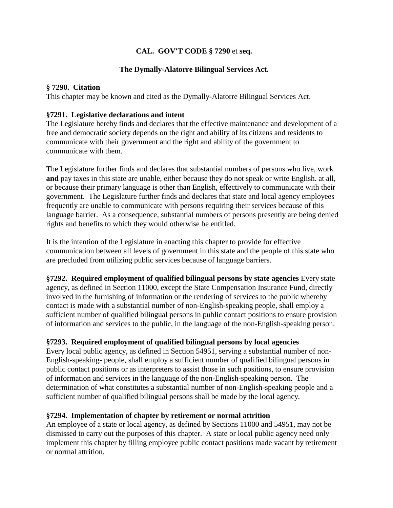# **CAL. GOV'T CODE § 7290** et **seq.**

### **The Dymally-Alatorre Bilingual Services Act.**

### **§ 7290. Citation**

This chapter may be known and cited as the Dymally-Alatorre Bilingual Services Act.

#### **§7291. Legislative declarations and intent**

The Legislature hereby finds and declares that the effective maintenance and development of a free and democratic society depends on the right and ability of its citizens and residents to communicate with their government and the right and ability of the government to communicate with them.

The Legislature further finds and declares that substantial numbers of persons who live, work **and** pay taxes in this state are unable, either because they do not speak or write English. at all, or because their primary language is other than English, effectively to communicate with their government. The Legislature further finds and declares that state and local agency employees frequently are unable to communicate with persons requiring their services because of this language barrier. As a consequence, substantial numbers of persons presently are being denied rights and benefits to which they would otherwise be entitled.

It is the intention of the Legislature in enacting this chapter to provide for effective communication between all levels of government in this state and the people of this state who are precluded from utilizing public services because of language barriers.

**§7292. Required employment of qualified bilingual persons by state agencies** Every state agency, as defined in Section 11000, except the State Compensation Insurance Fund, directly involved in the furnishing of information or the rendering of services to the public whereby contact is made with a substantial number of non-English-speaking people, shall employ a sufficient number of qualified bilingual persons in public contact positions to ensure provision of information and services to the public, in the language of the non-English-speaking person.

### **§7293. Required employment of qualified bilingual persons by local agencies**

Every local public agency, as defined in Section 54951, serving a substantial number of non-English-speaking- people, shall employ a sufficient number of qualified bilingual persons in public contact positions or as interpreters to assist those in such positions, to ensure provision of information and services in the language of the non-English-speaking person. The determination of what constitutes a substantial number of non-English-speaking people and a sufficient number of qualified bilingual persons shall be made by the local agency.

### **§7294. Implementation of chapter by retirement or normal attrition**

An employee of a state or local agency, as defined by Sections 11000 and 54951, may not be dismissed to carry out the purposes of this chapter. A state or local public agency need only implement this chapter by filling employee public contact positions made vacant by retirement or normal attrition.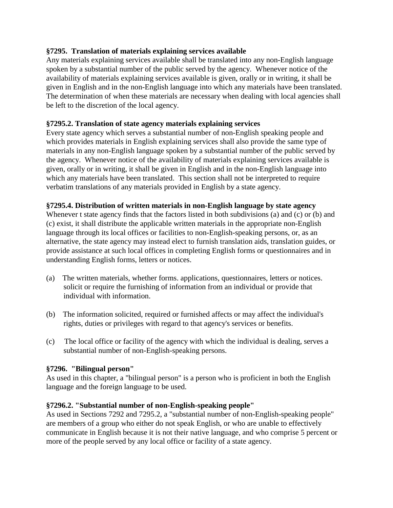### **§7295. Translation of materials explaining services available**

Any materials explaining services available shall be translated into any non-English language spoken by a substantial number of the public served by the agency. Whenever notice of the availability of materials explaining services available is given, orally or in writing, it shall be given in English and in the non-English language into which any materials have been translated. The determination of when these materials are necessary when dealing with local agencies shall be left to the discretion of the local agency.

# **§7295.2. Translation of state agency materials explaining services**

Every state agency which serves a substantial number of non-English speaking people and which provides materials in English explaining services shall also provide the same type of materials in any non-English language spoken by a substantial number of the public served by the agency. Whenever notice of the availability of materials explaining services available is given, orally or in writing, it shall be given in English and in the non-English language into which any materials have been translated. This section shall not be interpreted to require verbatim translations of any materials provided in English by a state agency.

### **§7295.4. Distribution of written materials in non-English language by state agency**

Whenever t state agency finds that the factors listed in both subdivisions (a) and (c) or (b) and (c) exist, it shall distribute the applicable written materials in the appropriate non-English language through its local offices or facilities to non-English-speaking persons, or, as an alternative, the state agency may instead elect to furnish translation aids, translation guides, or provide assistance at such local offices in completing English forms or questionnaires and in understanding English forms, letters or notices.

- (a) The written materials, whether forms. applications, questionnaires, letters or notices. solicit or require the furnishing of information from an individual or provide that individual with information.
- (b) The information solicited, required or furnished affects or may affect the individual's rights, duties or privileges with regard to that agency's services or benefits.
- (c) The local office or facility of the agency with which the individual is dealing, serves a substantial number of non-English-speaking persons.

### **§7296. "Bilingual person"**

As used in this chapter, a "bilingual person" is a person who is proficient in both the English language and the foreign language to be used.

# **§7296.2. "Substantial number of non-English-speaking people"**

As used in Sections 7292 and 7295.2, a "substantial number of non-English-speaking people" are members of a group who either do not speak English, or who are unable to effectively communicate in English because it is not their native language, and who comprise 5 percent or more of the people served by any local office or facility of a state agency.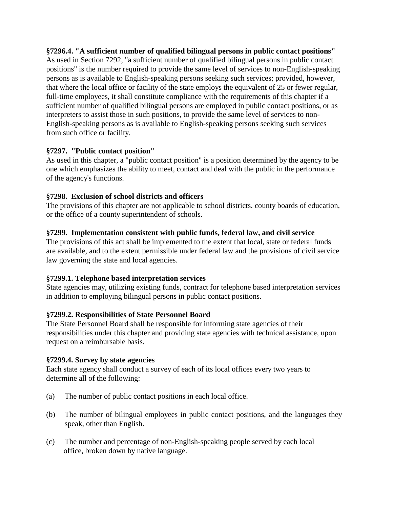**§7296.4. "A sufficient number of qualified bilingual persons in public contact positions"** As used in Section 7292, "a sufficient number of qualified bilingual persons in public contact positions" is the number required to provide the same level of services to non-English-speaking persons as is available to English-speaking persons seeking such services; provided, however, that where the local office or facility of the state employs the equivalent of 25 or fewer regular, full-time employees, it shall constitute compliance with the requirements of this chapter if a sufficient number of qualified bilingual persons are employed in public contact positions, or as interpreters to assist those in such positions, to provide the same level of services to non-English-speaking persons as is available to English-speaking persons seeking such services from such office or facility.

# **§7297. "Public contact position"**

As used in this chapter, a "public contact position" is a position determined by the agency to be one which emphasizes the ability to meet, contact and deal with the public in the performance of the agency's functions.

# **§7298. Exclusion of school districts and officers**

The provisions of this chapter are not applicable to school districts. county boards of education, or the office of a county superintendent of schools.

# **§7299. Implementation consistent with public funds, federal law, and civil service**

The provisions of this act shall be implemented to the extent that local, state or federal funds are available, and to the extent permissible under federal law and the provisions of civil service law governing the state and local agencies.

# **§7299.1. Telephone based interpretation services**

State agencies may, utilizing existing funds, contract for telephone based interpretation services in addition to employing bilingual persons in public contact positions.

### **§7299.2. Responsibilities of State Personnel Board**

The State Personnel Board shall be responsible for informing state agencies of their responsibilities under this chapter and providing state agencies with technical assistance, upon request on a reimbursable basis.

### **§7299.4. Survey by state agencies**

Each state agency shall conduct a survey of each of its local offices every two years to determine all of the following:

- (a) The number of public contact positions in each local office.
- (b) The number of bilingual employees in public contact positions, and the languages they speak, other than English.
- (c) The number and percentage of non-English-speaking people served by each local office, broken down by native language.